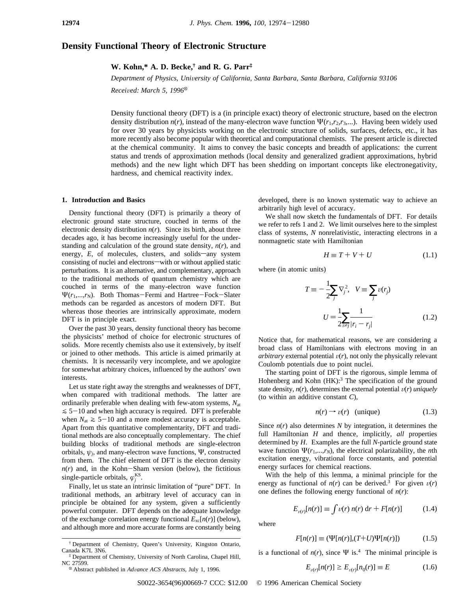# **Density Functional Theory of Electronic Structure**

**W. Kohn,\* A. D. Becke,† and R. G. Parr‡**

*Department of Physics, Uni*V*ersity of California, Santa Barbara, Santa Barbara, California 93106*

*Received: March 5, 1996*<sup>®</sup>

Density functional theory (DFT) is a (in principle exact) theory of electronic structure, based on the electron density distribution  $n(r)$ , instead of the many-electron wave function  $\Psi(r_1,r_2,r_3,...)$ . Having been widely used for over 30 years by physicists working on the electronic structure of solids, surfaces, defects, etc., it has more recently also become popular with theoretical and computational chemists. The present article is directed at the chemical community. It aims to convey the basic concepts and breadth of applications: the current status and trends of approximation methods (local density and generalized gradient approximations, hybrid methods) and the new light which DFT has been shedding on important concepts like electronegativity, hardness, and chemical reactivity index.

#### **1. Introduction and Basics**

Density functional theory (DFT) is primarily a theory of electronic ground state structure, couched in terms of the electronic density distribution  $n(r)$ . Since its birth, about three decades ago, it has become increasingly useful for the understanding and calculation of the ground state density, *n*(*r*), and energy, *E*, of molecules, clusters, and solids-any system consisting of nuclei and electrons-with or without applied static perturbations. It is an alternative, and complementary, approach to the traditional methods of quantum chemistry which are couched in terms of the many-electron wave function Ψ( $r_1$ ,..., $r_N$ ). Both Thomas-Fermi and Hartree-Fock-Slater methods can be regarded as ancestors of modern DFT. But whereas those theories are intrinsically approximate, modern DFT is in principle exact.

Over the past 30 years, density functional theory has become the physicists' method of choice for electronic structures of solids. More recently chemists also use it extensively, by itself or joined to other methods. This article is aimed primarily at chemists. It is necessarily very incomplete, and we apologize for somewhat arbitrary choices, influenced by the authors' own interests.

Let us state right away the strengths and weaknesses of DFT, when compared with traditional methods. The latter are ordinarily preferable when dealing with few-atom systems, *N*at  $\leq$  5-10 and when high accuracy is required. DFT is preferable when  $N_{at} \geq 5-10$  and a more modest accuracy is acceptable. Apart from this quantitative complementarity, DFT and traditional methods are also conceptually complementary. The chief building blocks of traditional methods are single-electron orbitals, *ψj*, and many-electron wave functions, Ψ, constructed from them. The chief element of DFT is the electron density  $n(r)$  and, in the Kohn-Sham version (below), the fictitious single-particle orbitals,  $\varphi_j^{\text{KS}}$ .

Finally, let us state an intrinsic limitation of "pure" DFT. In traditional methods, an arbitrary level of accuracy can in principle be obtained for any system, given a sufficiently powerful computer. DFT depends on the adequate knowledge of the exchange correlation energy functional  $E_{\text{xc}}[n(r)]$  (below), and although more and more accurate forms are constantly being developed, there is no known systematic way to achieve an arbitrarily high level of accuracy.

We shall now sketch the fundamentals of DFT. For details we refer to refs 1 and 2. We limit ourselves here to the simplest class of systems, *N* nonrelativistic, interacting electrons in a nonmagnetic state with Hamiltonian

$$
H \equiv T + V + U \tag{1.1}
$$

where (in atomic units)

$$
T \equiv -\frac{1}{2} \sum_{j} \nabla_{j}^{2}, \quad V \equiv \sum_{j} \nu(r_{j})
$$

$$
U = \frac{1}{2} \sum_{i \neq j} \frac{1}{|r_{i} - r_{j}|}
$$
(1.2)

Notice that, for mathematical reasons, we are considering a broad class of Hamiltonians with electrons moving in an *arbitrary* external potential  $v(r)$ , not only the physically relevant Coulomb potentials due to point nuclei.

The starting point of DFT is the rigorous, simple lemma of Hohenberg and Kohn (HK):<sup>3</sup> The specification of the ground state density,  $n(r)$ , determines the external potential  $v(r)$  *uniquely* (to within an additive constant *C*),

$$
n(r) \to v(r) \quad \text{(unique)} \tag{1.3}
$$

Since  $n(r)$  also determines  $N$  by integration, it determines the full Hamiltonian *H* and thence, implicitly, *all* properties determined by *H*. Examples are the full *N*-particle ground state wave function  $\Psi(r_1,...,r_N)$ , the electrical polarizability, the *n*th excitation energy, vibrational force constants, and potential energy surfaces for chemical reactions.

With the help of this lemma, a minimal principle for the energy as functional of  $n(r)$  can be derived.<sup>3</sup> For given  $v(r)$ one defines the following energy functional of  $n(r)$ :

$$
E_{\nu(r)}[n(r)] \equiv \int \nu(r) n(r) dr + F[n(r)] \tag{1.4}
$$

where

$$
F[n(r)] \equiv (\Psi[n(r)], (T+U)\Psi[n(r)]) \tag{1.5}
$$

is a functional of  $n(r)$ , since  $\Psi$  is.<sup>4</sup> The minimal principle is

$$
E_{\nu(r)}[n(r)] \ge E_{\nu(r)}[n_0(r)] \equiv E \tag{1.6}
$$

<sup>†</sup> Department of Chemistry, Queen's University, Kingston Ontario, Canada K7L 3N6.

<sup>‡</sup> Department of Chemistry, University of North Carolina, Chapel Hill,

<sup>&</sup>lt;sup>®</sup> Abstract published in *Advance ACS Abstracts*, July 1, 1996.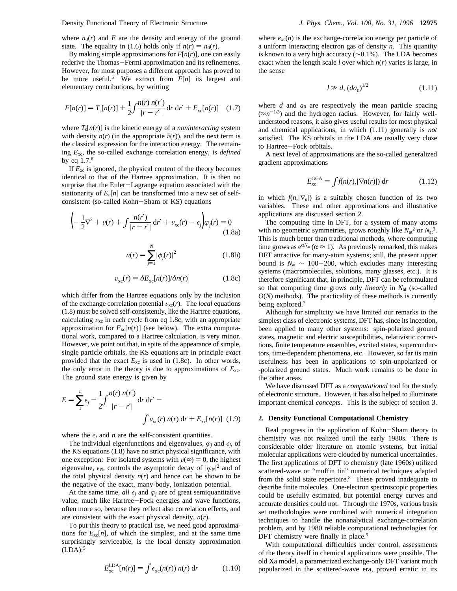Density Functional Theory of Electronic Structure *J. Phys. Chem., Vol. 100, No. 31, 1996* **12975**

where  $n_0(r)$  and *E* are the density and energy of the ground state. The equality in (1.6) holds only if  $n(r) = n_0(r)$ .

By making simple approximations for  $F[n(r)]$ , one can easily rederive the Thomas-Fermi approximation and its refinements. However, for most purposes a different approach has proved to be more useful.<sup>5</sup> We extract from  $F[n]$  its largest and elementary contributions, by writting

$$
F[n(r)] = T_s[n(r)] + \frac{1}{2} \int \frac{n(r) n(r')}{|r - r'|} dr dr' + E_{xc}[n(r)] \quad (1.7)
$$

where  $T_s[n(r)]$  is the kinetic energy of a *noninteracting* system with density  $n(r)$  (in the appropriate  $\tilde{v}(r)$ ), and the next term is the classical expression for the interaction energy. The remaining *E*xc, the so-called exchange correlation energy, is *defined* by eq 1.7.6

If  $E_{\text{xc}}$  is ignored, the physical content of the theory becomes identical to that of the Hartree approximation. It is then no surprise that the Euler-Lagrange equation associated with the stationarity of  $E_v[n]$  can be transformed into a new set of selfconsistent (so-called Kohn-Sham or KS) equations

$$
\left(-\frac{1}{2}\nabla^2 + v(r) + \int \frac{n(r')}{|r - r'|} \, \mathrm{d}r' + v_{\rm xc}(r) - \epsilon_j\right) \varphi_j(r) = 0
$$
\n(1.8a)

$$
n(r) = \sum_{j=1}^{N} |\phi_j(r)|^2
$$
 (1.8b)

$$
v_{\rm xc}(r) = \delta E_{\rm xc}[n(r)]/\delta n(r) \tag{1.8c}
$$

which differ from the Hartree equations only by the inclusion of the exchange correlation potential  $v_{\text{xc}}(r)$ . The *local* equations (1.8) must be solved self-consistently, like the Hartree equations, calculating  $v_{\text{xc}}$  in each cycle from eq 1.8c, with an appropriate approximation for  $E_{\text{xc}}[n(r)]$  (see below). The extra computational work, compared to a Hartree calculation, is very minor. However, we point out that, in spite of the appearance of simple, single particle orbitals, the KS equations are in principle *exact* provided that the exact  $E_{\text{xc}}$  is used in (1.8c). In other words, the only error in the theory is due to approximations of  $E_{\text{xc}}$ . The ground state energy is given by

$$
E = \sum_{1}^{v} \epsilon_{j} - \frac{1}{2} \int \frac{n(r) n(r')}{|r - r'|} dr dr' - \int v_{xc}(r) n(r) dr + E_{xc}[n(r)] \tag{1.9}
$$

where the  $\epsilon_i$  and *n* are the self-consistent quantities.

The individual eigenfunctions and eigenvalues,  $\varphi_j$  and  $\epsilon_j$ , of the KS equations (1.8) have no strict physical significance, with one exception: For isolated systems with  $v(\infty) = 0$ , the highest eigenvalue,  $\epsilon_N$ , controls the asymptotic decay of  $|\varphi_N|^2$  and of the total physical density  $n(r)$  and hence can be shown to be the negative of the exact, many-body, ionization potential.

At the same time, *all*  $\epsilon_j$  and  $\varphi_j$  are of great semiquantitative value, much like Hartree-Fock energies and wave functions, often more so, because they reflect also correlation effects, and are consistent with the exact physical density, *n*(*r*).

To put this theory to practical use, we need good approximations for  $E_{\text{xc}}[n]$ , of which the simplest, and at the same time surprisingly serviceable, is the local density approximation  $(LDA):$ <sup>5</sup>

$$
E_{\rm xc}^{\rm LDA}[n(r)] \equiv \int \epsilon_{\rm xc}(n(r)) \; n(r) \; \mathrm{d}r \tag{1.10}
$$

where  $e_{\text{xc}}(n)$  is the exchange-correlation energy per particle of a uniform interacting electron gas of density *n*. This quantity is known to a very high accuracy (∼0.1%). The LDA becomes exact when the length scale *l* over which  $n(r)$  varies is large, in the sense

$$
l \gg d, (da_0)^{1/2} \tag{1.11}
$$

where  $d$  and  $a_0$  are respectively the mean particle spacing  $(\approx n^{-1/3})$  and the hydrogen radius. However, for fairly wellunderstood reasons, it also gives useful results for most physical and chemical applications, in which (1.11) generally is *not* satisfied. The KS orbitals in the LDA are usually very close to Hartree-Fock orbitals.

A next level of approximations are the so-called generalized gradient approximations

$$
E_{\rm xc}^{\rm GGA} = \int f(n(r), |\nabla n(r)|) \, \mathrm{d}r \tag{1.12}
$$

in which  $f(n, |\nabla_n|)$  is a suitably chosen function of its two variables. These and other approximations and illustrative applications are discussed section 2.

The computing time in DFT, for a system of many atoms with no geometric symmetries, grows roughly like  $N_{at}^2$  or  $N_{at}^3$ . This is much better than traditional methods, where computing time grows as  $e^{\alpha N_{at}} (\alpha \approx 1)$ . As previously remarked, this makes DFT attractive for many-atom systems; still, the present upper bound is  $N_{at}$  ∼ 100–200, which excludes many interesting systems (macromolecules, solutions, many glasses, etc.). It is therefore significant that, in principle, DFT can be reformulated so that computing time grows only *linearly* in *N*at (so-called  $O(N)$  methods). The practicality of these methods is currently being explored.<sup>7</sup>

Although for simplicity we have limited our remarks to the simplest class of electronic systems, DFT has, since its inception, been applied to many other systems: spin-polarized ground states, magnetic and electric susceptibilities, relativistic corrections, finite temperature ensembles, excited states, superconductors, time-dependent phenomena, etc. However, so far its main usefulness has been in applications to spin-unpolarized or -polarized ground states. Much work remains to be done in the other areas.

We have discussed DFT as a *computational* tool for the study of electronic structure. However, it has also helped to illuminate important chemical *concepts*. This is the subject of section 3.

## **2. Density Functional Computational Chemistry**

Real progress in the application of Kohn-Sham theory to chemistry was not realized until the early 1980s. There is considerable older literature on atomic systems, but initial molecular applications were clouded by numerical uncertainties. The first applications of DFT to chemistry (late 1960s) utilized scattered-wave or "muffin tin" numerical techniques adapted from the solid state repertoire.<sup>8</sup> These proved inadequate to describe finite molecules. One-electron spectroscopic properties could be usefully estimated, but potential energy curves and accurate densities could not. Through the 1970s, various basis set methodologies were combined with numerical integration techniques to handle the nonanalytical exchange-correlation problem, and by 1980 reliable computational technologies for DFT chemistry were finally in place.<sup>9</sup>

With computational difficulties under control, assessments of the theory itself in chemical applications were possible. The old Xa model, a parametrized exchange-only DFT variant much popularized in the scattered-wave era, proved erratic in its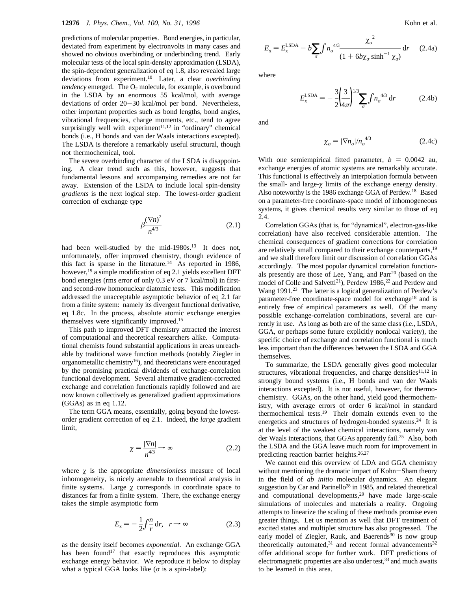predictions of molecular properties. Bond energies, in particular, deviated from experiment by electronvolts in many cases and showed no obvious overbinding or underbinding trend. Early molecular tests of the local spin-density approximation (LSDA), the spin-dependent generalization of eq 1.8, also revealed large deviations from experiment.<sup>10</sup> Later, a clear *overbinding tendency* emerged. The O<sub>2</sub> molecule, for example, is overbound in the LSDA by an enormous 55 kcal/mol, with average deviations of order 20-30 kcal/mol per bond. Nevertheless, other important properties such as bond lengths, bond angles, vibrational frequencies, charge moments, etc., tend to agree surprisingly well with experiment<sup>11,12</sup> in "ordinary" chemical bonds (i.e., H bonds and van der Waals interactions excepted). The LSDA is therefore a remarkably useful structural, though not thermochemical, tool.

The severe overbinding character of the LSDA is disappointing. A clear trend such as this, however, suggests that fundamental lessons and accompanying remedies are not far away. Extension of the LSDA to include local spin-density *gradients* is the next logical step. The lowest-order gradient correction of exchange type

$$
\beta \frac{(\nabla n)^2}{n^{4/3}}\tag{2.1}
$$

had been well-studied by the mid-1980s.<sup>13</sup> It does not, unfortunately, offer improved chemistry, though evidence of this fact is sparse in the literature.<sup>14</sup> As reported in 1986, however,<sup>15</sup> a simple modification of eq 2.1 yields excellent DFT bond energies (rms error of only 0.3 eV or 7 kcal/mol) in firstand second-row homonuclear diatomic tests. This modification addressed the unacceptable asymptotic behavior of eq 2.1 far from a finite system: namely its divergent functional derivative, eq 1.8c. In the process, absolute atomic exchange energies themselves were significantly improved.15

This path to improved DFT chemistry attracted the interest of computational and theoretical researchers alike. Computational chemists found substantial applications in areas unreachable by traditional wave function methods (notably Ziegler in organometallic chemistry16), and theoreticians were encouraged by the promising practical dividends of exchange-correlation functional development. Several alternative gradient-corrected exchange and correlation functionals rapidly followed and are now known collectively as generalized gradient approximations (GGAs) as in eq 1.12.

The term GGA means, essentially, going beyond the lowestorder gradient correction of eq 2.1. Indeed, the *large* gradient limit,

$$
\chi = \frac{|\nabla n|}{n^{4/3}} \to \infty \tag{2.2}
$$

where  $\chi$  is the appropriate *dimensionless* measure of local inhomogeneity, is nicely amenable to theoretical analysis in finite systems. Large  $\chi$  corresponds in coordinate space to distances far from a finite system. There, the exchange energy takes the simple asymptotic form

$$
E_x = -\frac{1}{2} \int \frac{n}{r} dr, \quad r \to \infty \tag{2.3}
$$

as the density itself becomes *exponential*. An exchange GGA has been found<sup>17</sup> that exactly reproduces this asymptotic exchange energy behavior. We reproduce it below to display what a typical GGA looks like  $(\sigma \text{ is a spin-label})$ :

$$
E_x = E_x^{\text{LSDA}} - b \sum_{\sigma} \int n_{\sigma}^{4/3} \frac{\chi_{\sigma}^2}{(1 + 6b\chi_{\sigma} \sinh^{-1} \chi_{\sigma})} dr \qquad (2.4a)
$$

where

$$
E_{x}^{\text{LSDA}} = -\frac{3}{2} \left(\frac{3}{4\pi}\right)^{1/3} \sum_{\sigma} f n_{\sigma}^{4/3} dr \qquad (2.4b)
$$

and

$$
\chi_{\sigma} = |\nabla n_{\sigma}| / n_{\sigma}^{4/3} \tag{2.4c}
$$

With one semiempirical fitted parameter,  $b = 0.0042$  au, exchange energies of atomic systems are remarkably accurate. This functional is effectively an interpolation formula between the small- and large-*ø* limits of the exchange energy density. Also noteworthy is the 1986 exchange GGA of Perdew.18 Based on a parameter-free coordinate-space model of inhomogeneous systems, it gives chemical results very similar to those of eq 2.4.

Correlation GGAs (that is, for "dynamical", electron-gas-like correlation) have also received considerable attention. The chemical consequences of gradient corrections for correlation are relatively small compared to their exchange counterparts,<sup>19</sup> and we shall therefore limit our discussion of correlation GGAs accordingly. The most popular dynamical correlation functionals presently are those of Lee, Yang, and Parr<sup>20</sup> (based on the model of Colle and Salvetti<sup>21</sup>), Perdew 1986,<sup>22</sup> and Perdew and Wang 1991.<sup>23</sup> The latter is a logical generalization of Perdew's parameter-free coordinate-space model for exchange<sup>18</sup> and is entirely free of empirical parameters as well. Of the many possible exchange-correlation combinations, several are currently in use. As long as both are of the same class (i.e., LSDA, GGA, or perhaps some future explicitly nonlocal variety), the specific choice of exchange and correlation functional is much less important than the differences between the LSDA and GGA themselves.

To summarize, the LSDA generally gives good molecular structures, vibrational frequencies, and charge densities $11,12$  in strongly bound systems (i.e., H bonds and van der Waals interactions excepted). It is not useful, however, for thermochemistry. GGAs, on the other hand, yield good thermochemistry, with average errors of order 6 kcal/mol in standard thermochemical tests.19 Their domain extends even to the energetics and structures of hydrogen-bonded systems.<sup>24</sup> It is at the level of the weakest chemical interactions, namely van der Waals interactions, that GGAs apparently fail.<sup>25</sup> Also, both the LSDA and the GGA leave much room for improvement in predicting reaction barrier heights.<sup>26,27</sup>

We cannot end this overview of LDA and GGA chemistry without mentioning the dramatic impact of Kohn-Sham theory in the field of *ab initio* molecular dynamics. An elegant suggestion by Car and Parinello<sup>28</sup> in 1985, and related theoretical and computational developments,<sup>29</sup> have made large-scale simulations of molecules and materials a reality. Ongoing attempts to linearize the scaling of these methods promise even greater things. Let us mention as well that DFT treatment of excited states and multiplet structure has also progressed. The early model of Ziegler, Rauk, and Baerends<sup>30</sup> is now group theoretically automated, $31$  and recent formal advancements $32$ offer additional scope for further work. DFT predictions of electromagnetic properties are also under test,<sup>33</sup> and much awaits to be learned in this area.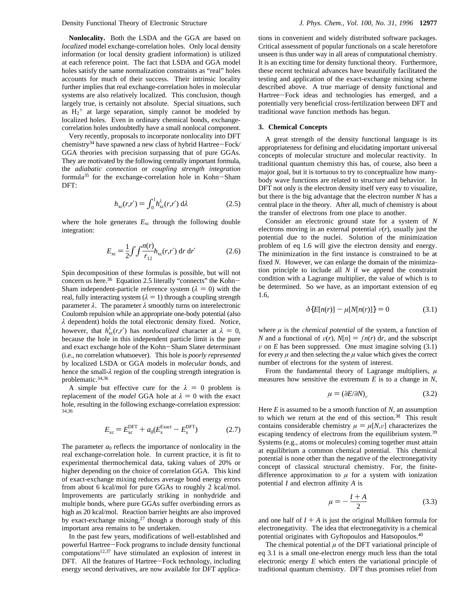**Nonlocality.** Both the LSDA and the GGA are based on *localized* model exchange-correlation holes. Only local density information (or local density gradient information) is utilized at each reference point. The fact that LSDA and GGA model holes satisfy the same normalization constraints as "real" holes accounts for much of their success. Their intrinsic locality further implies that real exchange-correlation holes in molecular systems are also relatively localized. This conclusion, though largely true, is certainly not absolute. Special situations, such as  $H_2$ <sup>+</sup> at large separation, simply cannot be modeled by localized holes. Even in ordinary chemical bonds, exchangecorrelation holes undoubtedly have a small nonlocal component.

Very recently, proposals to incorporate nonlocality into DFT chemistry<sup>34</sup> have spawned a new class of hybrid Hartree-Fock/ GGA theories with precision surpassing that of pure GGAs. They are motivated by the following centrally important formula, the *adiabatic connection* or *coupling strength integration* formula35 for the exchange-correlation hole in Kohn-Sham DFT:

$$
h_{\rm xc}(r,r') = \int_0^1 h_{\rm xc}^\lambda(r,r') \, \mathrm{d}\lambda \tag{2.5}
$$

where the hole generates  $E_{\text{xc}}$  through the following double integration:

$$
E_{\rm xc} = \frac{1}{2} \int \int \frac{n(r)}{r_{12}} h_{\rm xc}(r,r') \, \mathrm{d}r \, \mathrm{d}r' \tag{2.6}
$$

Spin decomposition of these formulas is possible, but will not concern us here.<sup>36</sup> Equation 2.5 literally "connects" the Kohn-Sham independent-particle reference system  $(\lambda = 0)$  with the real, fully interacting system  $(\lambda = 1)$  through a coupling strength parameter *λ*. The parameter *λ* smoothly turns on interelectronic Coulomb repulsion while an appropriate one-body potential (also *λ* dependent) holds the total electronic density fixed. Notice, however, that  $h_{\text{xc}}^{\lambda}(r,r')$  has *nonlocalized* character at  $\lambda = 0$ , because the hole in this independent particle limit is the pure because the hole in this independent particle limit is the pure and exact exchange hole of the Kohn-Sham Slater determinant (i.e., no correlation whatsoever). This hole is *poorly represented* by localized LSDA or GGA models in *molecular bonds*, and hence the small-*λ* region of the coupling strength integration is problematic.34,36

A simple but effective cure for the  $\lambda = 0$  problem is replacement of the *model* GGA hole at  $\lambda = 0$  with the exact hole, resulting in the following exchange-correlation expression: 34,36

$$
E_{\rm xc} = E_{\rm xc}^{\rm DFT} + a_0 (E_{\rm x}^{\rm Exact} - E_{\rm x}^{\rm DFT})
$$
 (2.7)

The parameter  $a_0$  reflects the importance of nonlocality in the real exchange-correlation hole. In current practice, it is fit to experimental thermochemical data, taking values of 20% or higher depending on the choice of correlation GGA. This kind of exact-exchange mixing reduces average bond energy errors from about 6 kcal/mol for pure GGAs to roughly 2 kcal/mol. Improvements are particularly striking in nonhydride and multiple bonds, where pure GGAs suffer overbinding errors as high as 20 kcal/mol. Reaction barrier heights are also improved by exact-exchange mixing, $27$  though a thorough study of this important area remains to be undertaken.

In the past few years, modifications of well-established and powerful Hartree-Fock programs to include density functional computations<sup>12,37</sup> have stimulated an explosion of interest in DFT. All the features of Hartree-Fock technology, including energy second derivatives, are now available for DFT applica-

tions in convenient and widely distributed software packages. Critical assessment of popular functionals on a scale heretofore unseen is thus under way in all areas of computational chemistry. It is an exciting time for density functional theory. Furthermore, these recent technical advances have beautifully facilitated the testing and application of the exact-exchange mixing scheme described above. A true marriage of density functional and Hartree-Fock ideas and technologies has emerged, and a potentially very beneficial cross-fertilization between DFT and traditional wave function methods has begun.

## **3. Chemical Concepts**

A great strength of the density functional language is its appropriateness for defining and elucidating important universal concepts of molecular structure and molecular reactivity. In traditional quantum chemistry this has, of course, also been a major goal, but it is tortuous to try to conceptualize how manybody wave functions are related to structure and behavior. In DFT not only is the electron density itself very easy to visualize, but there is the big advantage that the electron number *N* has a central place in the theory. After all, much of chemistry is about the transfer of electrons from one place to another.

Consider an electronic ground state for a system of *N* electrons moving in an external potential  $v(r)$ , usually just the potential due to the nuclei. Solution of the minimization problem of eq 1.6 will give the electron density and energy. The minimization in the first instance is constrained to be at fixed *N*. However, we can enlarge the domain of the minimization principle to include all *N* if we append the constraint condition with a Lagrange multiplier, the value of which is to be determined. So we have, as an important extension of eq 1.6,

$$
\delta\{E[n(r)] - \mu[N[n(r)]\} = 0 \tag{3.1}
$$

where  $\mu$  is the *chemical potential* of the system, a function of *N* and a functional of  $v(r)$ ,  $N[n] = \int n(r) dr$ , and the subscript  $\nu$  on *E* has been suppressed. One must imagine solving (3.1) for every  $\mu$  and then selecting the  $\mu$  value which gives the correct number of electrons for the system of interest.

From the fundamental theory of Lagrange multipliers, *µ* measures how sensitive the extremum *E* is to a change in *N*,

$$
\mu = (\partial E/\partial N)_v \tag{3.2}
$$

Here *E* is assumed to be a smooth function of *N*, an assumption to which we return at the end of this section.<sup>38</sup> This result contains considerable chemistry  $\mu = \mu[N, \nu]$  characterizes the escaping tendency of electrons from the equilibrium system.<sup>39</sup> Systems (e.g., atoms or molecules) coming together must attain at equilibrium a common chemical potential. This chemical potential is none other than the negative of the electronegativity concept of classical structural chemistry. For, the finitedifference approximation to  $\mu$  for a system with ionization potential *I* and electron affinity *A* is

$$
\mu = -\frac{I + A}{2} \tag{3.3}
$$

and one half of  $I + A$  is just the original Mulliken formula for electronegativity. The idea that electronegativity is a chemical potential originates with Gyftopoulos and Hatsopoulos.40

The chemical potential  $\mu$  of the DFT variational principle of eq 3.1 is a small one-electron energy much less than the total electronic energy *E* which enters the variational principle of traditional quantum chemistry. DFT thus promises relief from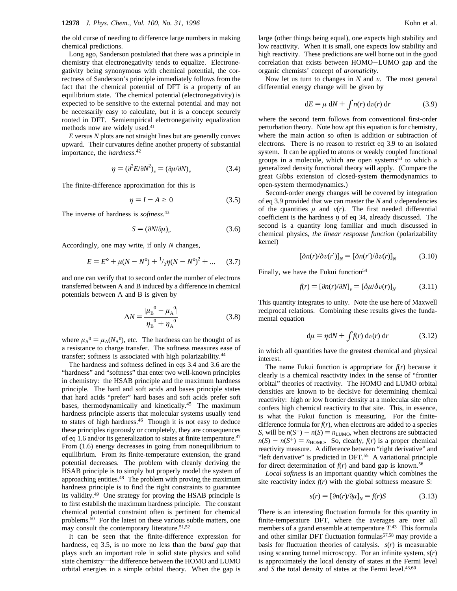the old curse of needing to difference large numbers in making chemical predictions.

Long ago, Sanderson postulated that there was a principle in chemistry that electronegativity tends to equalize. Electronegativity being synonymous with chemical potential, the correctness of Sanderson's principle immediately follows from the fact that the chemical potential of DFT is a property of an equilibrium state. The chemical potential (electronegativity) is expected to be sensitive to the external potential and may not be necessarily easy to calculate, but it is a concept securely rooted in DFT. Semiempirical electronegativity equalization methods now are widely used.<sup>41</sup>

*E* versus *N* plots are not straight lines but are generally convex upward. Their curvatures define another property of substantial importance, the *hardness*. 42

$$
\eta = (\partial^2 E / \partial N^2)_v = (\partial \mu / \partial N)_v \tag{3.4}
$$

The finite-difference approximation for this is

$$
\eta = I - A \ge 0 \tag{3.5}
$$

The inverse of hardness is *softness*. 43

$$
S = (\partial N/\partial \mu)_v \tag{3.6}
$$

Accordingly, one may write, if only *N* changes,

$$
E = E^{\circ} + \mu (N - N^{\circ}) + \frac{1}{2} \eta (N - N^{\circ})^2 + \dots \quad (3.7)
$$

and one can verify that to second order the number of electrons transferred between A and B induced by a difference in chemical potentials between A and B is given by

$$
\Delta N = \frac{|\mu_{\rm B}^0 - \mu_{\rm A}^0|}{\eta_{\rm B}^0 + \eta_{\rm A}^0}
$$
(3.8)

where  $\mu_A^0 = \mu_A (N_A^0)$ , etc. The hardness can be thought of as a resistance to charge transfer. The softness measures ease of transfer; softness is associated with high polarizability.44

The hardness and softness defined in eqs 3.4 and 3.6 are the "hardness" and "softness" that enter two well-known principles in chemistry: the HSAB principle and the maximum hardness principle. The hard and soft acids and bases principle states that hard acids "prefer" hard bases and soft acids prefer soft bases, thermodynamically and kinetically.45 The maximum hardness principle asserts that molecular systems usually tend to states of high hardness.46 Though it is not easy to deduce these principles rigorously or completely, they are consequences of eq 1.6 and/or its generalization to states at finite temperature.47 From (1.6) energy decreases in going from nonequilibrium to equilibrium. From its finite-temperature extension, the grand potential decreases. The problem with cleanly deriving the HSAB principle is to simply but properly model the system of approaching entities.48 The problem with proving the maximum hardness principle is to find the right constraints to guarantee its validity.49 One strategy for proving the HSAB principle is to first establish the maximum hardness principle. The constant chemical potential constraint often is pertinent for chemical problems.50 For the latest on these various subtle matters, one may consult the contemporary literature.<sup>51,52</sup>

It can be seen that the finite-difference expression for hardness, eq 3.5, is no more no less than the *band gap* that plays such an important role in solid state physics and solid state chemistry-the difference between the HOMO and LUMO orbital energies in a simple orbital theory. When the gap is

large (other things being equal), one expects high stability and low reactivity. When it is small, one expects low stability and high reactivity. These predictions are well borne out in the good correlation that exists between HOMO-LUMO gap and the organic chemists' concept of *aromaticity*.

Now let us turn to changes in  $N$  and  $v$ . The most general differential energy change will be given by

$$
dE = \mu \, dN + \int n(r) \, dv(r) \, dr \tag{3.9}
$$

where the second term follows from conventional first-order perturbation theory. Note how apt this equation is for chemistry, where the main action so often is addition or subtraction of electrons. There is no reason to restrict eq 3.9 to an isolated system. It can be applied to atoms or weakly coupled functional groups in a molecule, which are open systems $53$  to which a generalized density functional theory will apply. (Compare the great Gibbs extension of closed-system thermodynamics to open-system thermodynamics.)

Second-order energy changes will be covered by integration of eq 3.9 provided that we can master the  $N$  and  $\nu$  dependencies of the quantities  $\mu$  and  $v(r)$ . The first needed differential coefficient is the hardness *η* of eq 34, already discussed. The second is a quantity long familiar and much discussed in chemical physics, *the linear response function* (polarizability kernel)

$$
[\delta n(r)/\delta v(r')]_N = [\delta n(r')/\delta v(r)]_N \tag{3.10}
$$

Finally, we have the Fukui function<sup>54</sup>

$$
f(r) = \left[\frac{\partial n(r)}{\partial N}\right]_{\nu} = \left[\frac{\partial \mu}{\partial \nu(r)}\right]_{N} \tag{3.11}
$$

This quantity integrates to unity. Note the use here of Maxwell reciprocal relations. Combining these results gives the fundamental equation

$$
d\mu = \eta dN + \int f(r) \, dv(r) \, dr \tag{3.12}
$$

in which all quantities have the greatest chemical and physical interest.

The name Fukui function is appropriate for  $f(r)$  because it clearly is a chemical reactivity index in the sense of "frontier orbital" theories of reactivity. The HOMO and LUMO orbital densities are known to be decisive for determining chemical reactivity: high or low frontier density at a molecular site often confers high chemical reactivity to that site. This, in essence, is what the Fukui function is measuring. For the finitedifference formula for  $f(r)$ , when electrons are added to a species *S*, will be  $n(S^-) - n(S) = n_{LUMO}$ , when electrons are subtracted  $n(S) - n(S^+) = n_{\text{HOMO}}$ . So, clearly,  $f(r)$  is a proper chemical reactivity measure. A difference between "right derivative" and "left derivative" is predicted in DFT.<sup>55</sup> A variational principle for direct determination of  $f(r)$  and band gap is known.<sup>56</sup>

*Local softness* is an important quantity which combines the site reactivity index  $f(r)$  with the global softness measure *S*:

$$
s(r) = [\partial n(r)/\partial \mu]_N = f(r)S \tag{3.13}
$$

There is an interesting fluctuation formula for this quantity in finite-temperature DFT, where the averages are over all members of a grand ensemble at temperature *T*. <sup>43</sup> This formula and other similar DFT fluctuation formulas<sup>57,58</sup> may provide a basis for fluctuation theories of catalysis.  $s(r)$  is measurable using scanning tunnel microscopy. For an infinite system, *s*(*r*) is approximately the local density of states at the Fermi level and  $S$  the total density of states at the Fermi level.<sup>43,60</sup>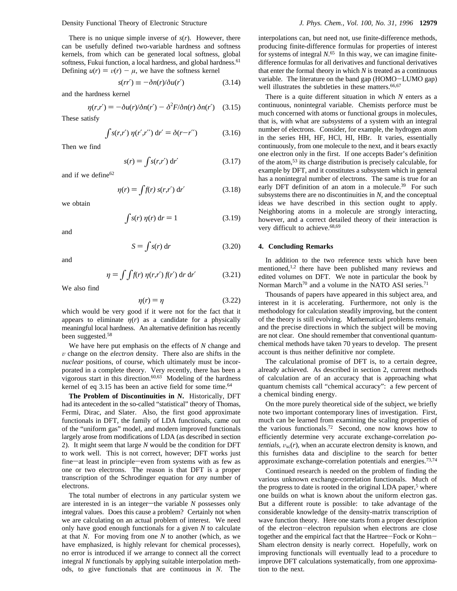Density Functional Theory of Electronic Structure *J. Phys. Chem., Vol. 100, No. 31, 1996* **12979**

There is no unique simple inverse of *s*(*r*). However, there can be usefully defined two-variable hardness and softness kernels, from which can be generated local softness, global softness, Fukui function, a local hardness, and global hardness.<sup>61</sup> Defining  $u(r) = v(r) - \mu$ , we have the softness kernel

$$
s(r\dot{r}') \equiv -\delta n(r)/\delta u(r')
$$
 (3.14)

and the hardness kernel

$$
\eta(r,r') = -\delta u(r)/\delta n(r') - \delta^2 F/\delta n(r) \delta n(r') \quad (3.15)
$$

These satisfy

$$
\int s(r,r') \, \eta(r',r'') \, dr' = \delta(r-r'')
$$
 (3.16)

Then we find

$$
s(r) = \int s(r,r') dr' \qquad (3.17)
$$

and if we define  $62$ 

$$
\eta(r) = \int f(r) s(r,r') dr' \tag{3.18}
$$

we obtain

$$
\int s(r) \eta(r) dr = 1 \tag{3.19}
$$

and

$$
S = \int s(r) dr
$$
 (3.20)

and

$$
\eta = \int \int f(r) \, \eta(r,r') \, f(r') \, dr \, dr' \tag{3.21}
$$

We also find

$$
\eta(r) = \eta \tag{3.22}
$$

 $\eta(r) = \eta$  (3.22)<br>which would be very good if it were not for the fact that it appears to eliminate  $\eta(r)$  as a candidate for a physically meaningful local hardness. An alternative definition has recently been suggested.58

We have here put emphasis on the effects of *N* change and  $v$  change on the *electron* density. There also are shifts in the *nuclear* positions, of course, which ultimately must be incorporated in a complete theory. Very recently, there has been a vigorous start in this direction.<sup>60,63</sup> Modeling of the hardness kernel of eq 3.15 has been an active field for some time.<sup>64</sup>

**The Problem of Discontinuities in** *N***.** Historically, DFT had its antecedent in the so-called "statistical" theory of Thomas, Fermi, Dirac, and Slater. Also, the first good approximate functionals in DFT, the family of LDA functionals, came out of the "uniform gas" model, and modern improved functionals largely arose from modifications of LDA (as described in section 2). It might seem that large *N* would be the condition for DFT to work well. This is not correct, however; DFT works just fine-at least in principle-even from systems with as few as one or two electrons. The reason is that DFT is a proper transcription of the Schrodinger equation for *any* number of electrons.

The total number of electrons in any particular system we are interested in is an integer—the variable  $N$  possesses only integral values. Does this cause a problem? Certainly not when we are calculating on an actual problem of interest. We need only have good enough functionals for a given *N* to calculate at that *N*. For moving from one *N* to another (which, as we have emphasized, is highly relevant for chemical processes), no error is introduced if we arrange to connect all the correct integral *N* functionals by applying suitable interpolation methods, to give functionals that are continuous in *N*. The

interpolations can, but need not, use finite-difference methods, producing finite-difference formulas for properties of interest for systems of integral *N*. <sup>65</sup> In this way, we can imagine finitedifference formulas for all derivatives and functional derivatives that enter the formal theory in which *N* is treated as a continuous variable. The literature on the band gap (HOMO-LUMO gap) well illustrates the subtleties in these matters.<sup>66,67</sup>

There is a quite different situation in which *N* enters as a continuous, nonintegral variable. Chemists perforce must be much concerned with atoms or functional groups in molecules, that is, with what are *subsystems* of a system with an integral number of electrons. Consider, for example, the hydrogen atom in the series HH, HF, HCl, HI, HBr. It varies, essentially continuously, from one molecule to the next, and it bears exactly one electron only in the first. If one accepts Bader's definition of the atom,53 its charge distribution is precisely calculable, for example by DFT, and it constitutes a subsystem which in general has a nonintegral number of electrons. The same is true for an early DFT definition of an atom in a molecule.<sup>39</sup> For such subsystems there are no discontinuities in *N*, and the conceptual ideas we have described in this section ought to apply. Neighboring atoms in a molecule are strongly interacting, however, and a correct detailed theory of their interaction is very difficult to achieve.68,69

### **4. Concluding Remarks**

In addition to the two reference texts which have been mentioned,<sup>1,2</sup> there have been published many reviews and edited volumes on DFT. We note in particular the book by Norman March<sup>70</sup> and a volume in the NATO ASI series.<sup>71</sup>

Thousands of papers have appeared in this subject area, and interest in it is accelerating. Furthermore, not only is the methodology for calculation steadily improving, but the content of the theory is still evolving. Mathematical problems remain, and the precise directions in which the subject will be moving are not clear. One should remember that conventional quantumchemical methods have taken 70 years to develop. The present account is thus neither definitive nor complete.

The calculational promise of DFT is, to a certain degree, already achieved. As described in section 2, current methods of calculation are of an accuracy that is approaching what quantum chemists call "chemical accuracy": a few percent of a chemical binding energy.

On the more purely theoretical side of the subject, we briefly note two important contemporary lines of investigation. First, much can be learned from examining the scaling properties of the various functionals.72 Second, one now knows how to efficiently determine very accurate exchange-correlation *potentials,*  $v_{\text{xc}}(r)$ *, when an accurate electron density is known, and* this furnishes data and discipline to the search for better approximate exchange-correlation potentials and energies.<sup>73,74</sup>

Continued research is needed on the problem of finding the various unknown exchange-correlation functionals. Much of the progress to date is rooted in the original LDA paper,<sup>5</sup> where one builds on what is known about the uniform electron gas. But a different route is possible: to take advantage of the considerable knowledge of the density-matrix transcription of wave function theory. Here one starts from a proper description of the electron-electron repulsion when electrons are close together and the empirical fact that the Hartree-Fock or Kohn-Sham electron density is nearly correct. Hopefully, work on improving functionals will eventually lead to a procedure to improve DFT calculations systematically, from one approximation to the next.